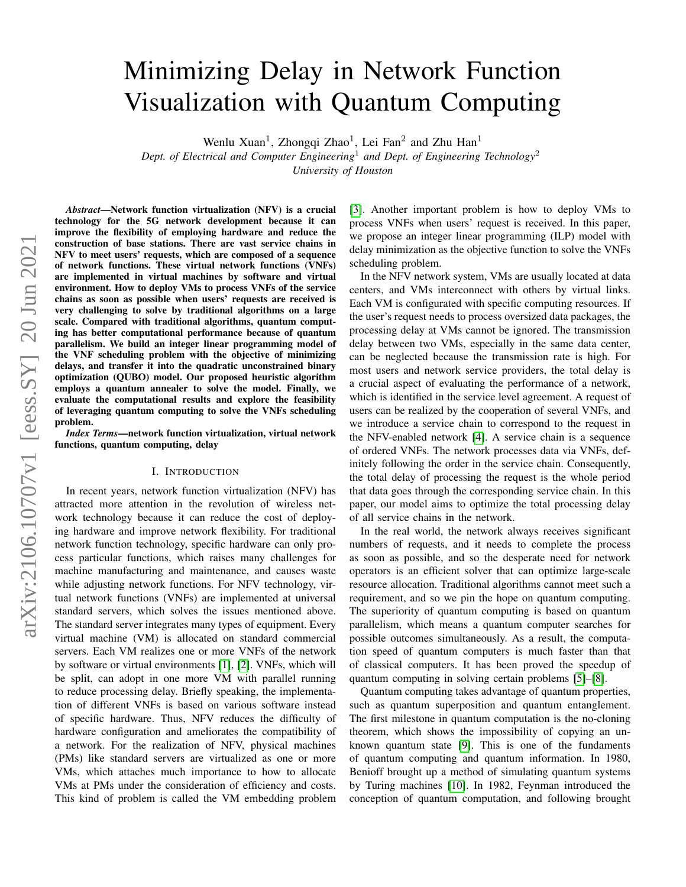# Minimizing Delay in Network Function Visualization with Quantum Computing

Wenlu Xuan<sup>1</sup>, Zhongqi Zhao<sup>1</sup>, Lei Fan<sup>2</sup> and Zhu Han<sup>1</sup>

*Dept. of Electrical and Computer Engineering*<sup>1</sup> *and Dept. of Engineering Technology*<sup>2</sup> *University of Houston*

arXiv:2106.10707v1 [eess.SY] 20 Jun 2021 arXiv:2106.10707v1 [eess.SY] 20 Jun 2021

*Abstract*—Network function virtualization (NFV) is a crucial technology for the 5G network development because it can improve the flexibility of employing hardware and reduce the construction of base stations. There are vast service chains in NFV to meet users' requests, which are composed of a sequence of network functions. These virtual network functions (VNFs) are implemented in virtual machines by software and virtual environment. How to deploy VMs to process VNFs of the service chains as soon as possible when users' requests are received is very challenging to solve by traditional algorithms on a large scale. Compared with traditional algorithms, quantum computing has better computational performance because of quantum parallelism. We build an integer linear programming model of the VNF scheduling problem with the objective of minimizing delays, and transfer it into the quadratic unconstrained binary optimization (QUBO) model. Our proposed heuristic algorithm employs a quantum annealer to solve the model. Finally, we evaluate the computational results and explore the feasibility of leveraging quantum computing to solve the VNFs scheduling problem.

*Index Terms*—network function virtualization, virtual network functions, quantum computing, delay

#### I. INTRODUCTION

In recent years, network function virtualization (NFV) has attracted more attention in the revolution of wireless network technology because it can reduce the cost of deploying hardware and improve network flexibility. For traditional network function technology, specific hardware can only process particular functions, which raises many challenges for machine manufacturing and maintenance, and causes waste while adjusting network functions. For NFV technology, virtual network functions (VNFs) are implemented at universal standard servers, which solves the issues mentioned above. The standard server integrates many types of equipment. Every virtual machine (VM) is allocated on standard commercial servers. Each VM realizes one or more VNFs of the network by software or virtual environments [\[1\]](#page-7-0), [\[2\]](#page-7-1). VNFs, which will be split, can adopt in one more VM with parallel running to reduce processing delay. Briefly speaking, the implementation of different VNFs is based on various software instead of specific hardware. Thus, NFV reduces the difficulty of hardware configuration and ameliorates the compatibility of a network. For the realization of NFV, physical machines (PMs) like standard servers are virtualized as one or more VMs, which attaches much importance to how to allocate VMs at PMs under the consideration of efficiency and costs. This kind of problem is called the VM embedding problem [\[3\]](#page-7-2). Another important problem is how to deploy VMs to process VNFs when users' request is received. In this paper, we propose an integer linear programming (ILP) model with delay minimization as the objective function to solve the VNFs scheduling problem.

In the NFV network system, VMs are usually located at data centers, and VMs interconnect with others by virtual links. Each VM is configurated with specific computing resources. If the user's request needs to process oversized data packages, the processing delay at VMs cannot be ignored. The transmission delay between two VMs, especially in the same data center, can be neglected because the transmission rate is high. For most users and network service providers, the total delay is a crucial aspect of evaluating the performance of a network, which is identified in the service level agreement. A request of users can be realized by the cooperation of several VNFs, and we introduce a service chain to correspond to the request in the NFV-enabled network [\[4\]](#page-7-3). A service chain is a sequence of ordered VNFs. The network processes data via VNFs, definitely following the order in the service chain. Consequently, the total delay of processing the request is the whole period that data goes through the corresponding service chain. In this paper, our model aims to optimize the total processing delay of all service chains in the network.

In the real world, the network always receives significant numbers of requests, and it needs to complete the process as soon as possible, and so the desperate need for network operators is an efficient solver that can optimize large-scale resource allocation. Traditional algorithms cannot meet such a requirement, and so we pin the hope on quantum computing. The superiority of quantum computing is based on quantum parallelism, which means a quantum computer searches for possible outcomes simultaneously. As a result, the computation speed of quantum computers is much faster than that of classical computers. It has been proved the speedup of quantum computing in solving certain problems [\[5\]](#page-7-4)–[\[8\]](#page-7-5).

Quantum computing takes advantage of quantum properties, such as quantum superposition and quantum entanglement. The first milestone in quantum computation is the no-cloning theorem, which shows the impossibility of copying an unknown quantum state [\[9\]](#page-7-6). This is one of the fundaments of quantum computing and quantum information. In 1980, Benioff brought up a method of simulating quantum systems by Turing machines [\[10\]](#page-7-7). In 1982, Feynman introduced the conception of quantum computation, and following brought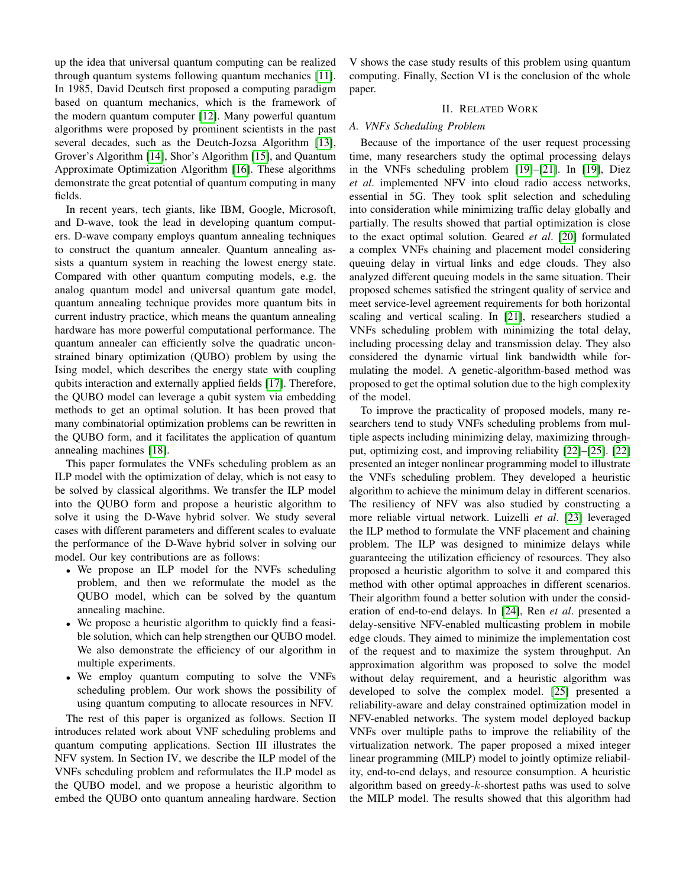up the idea that universal quantum computing can be realized through quantum systems following quantum mechanics [\[11\]](#page-7-8). In 1985, David Deutsch first proposed a computing paradigm based on quantum mechanics, which is the framework of the modern quantum computer [\[12\]](#page-7-9). Many powerful quantum algorithms were proposed by prominent scientists in the past several decades, such as the Deutch-Jozsa Algorithm [\[13\]](#page-7-10), Grover's Algorithm [\[14\]](#page-7-11), Shor's Algorithm [\[15\]](#page-7-12), and Quantum Approximate Optimization Algorithm [\[16\]](#page-7-13). These algorithms demonstrate the great potential of quantum computing in many fields.

In recent years, tech giants, like IBM, Google, Microsoft, and D-wave, took the lead in developing quantum computers. D-wave company employs quantum annealing techniques to construct the quantum annealer. Quantum annealing assists a quantum system in reaching the lowest energy state. Compared with other quantum computing models, e.g. the analog quantum model and universal quantum gate model, quantum annealing technique provides more quantum bits in current industry practice, which means the quantum annealing hardware has more powerful computational performance. The quantum annealer can efficiently solve the quadratic unconstrained binary optimization (QUBO) problem by using the Ising model, which describes the energy state with coupling qubits interaction and externally applied fields [\[17\]](#page-7-14). Therefore, the QUBO model can leverage a qubit system via embedding methods to get an optimal solution. It has been proved that many combinatorial optimization problems can be rewritten in the QUBO form, and it facilitates the application of quantum annealing machines [\[18\]](#page-7-15).

This paper formulates the VNFs scheduling problem as an ILP model with the optimization of delay, which is not easy to be solved by classical algorithms. We transfer the ILP model into the QUBO form and propose a heuristic algorithm to solve it using the D-Wave hybrid solver. We study several cases with different parameters and different scales to evaluate the performance of the D-Wave hybrid solver in solving our model. Our key contributions are as follows:

- We propose an ILP model for the NVFs scheduling problem, and then we reformulate the model as the QUBO model, which can be solved by the quantum annealing machine.
- We propose a heuristic algorithm to quickly find a feasible solution, which can help strengthen our QUBO model. We also demonstrate the efficiency of our algorithm in multiple experiments.
- We employ quantum computing to solve the VNFs scheduling problem. Our work shows the possibility of using quantum computing to allocate resources in NFV.

The rest of this paper is organized as follows. Section II introduces related work about VNF scheduling problems and quantum computing applications. Section III illustrates the NFV system. In Section IV, we describe the ILP model of the VNFs scheduling problem and reformulates the ILP model as the QUBO model, and we propose a heuristic algorithm to embed the QUBO onto quantum annealing hardware. Section

V shows the case study results of this problem using quantum computing. Finally, Section VI is the conclusion of the whole paper.

### II. RELATED WORK

# *A. VNFs Scheduling Problem*

Because of the importance of the user request processing time, many researchers study the optimal processing delays in the VNFs scheduling problem [\[19\]](#page-7-16)–[\[21\]](#page-7-17). In [\[19\]](#page-7-16), Diez *et al*. implemented NFV into cloud radio access networks, essential in 5G. They took split selection and scheduling into consideration while minimizing traffic delay globally and partially. The results showed that partial optimization is close to the exact optimal solution. Geared *et al*. [\[20\]](#page-7-18) formulated a complex VNFs chaining and placement model considering queuing delay in virtual links and edge clouds. They also analyzed different queuing models in the same situation. Their proposed schemes satisfied the stringent quality of service and meet service-level agreement requirements for both horizontal scaling and vertical scaling. In [\[21\]](#page-7-17), researchers studied a VNFs scheduling problem with minimizing the total delay, including processing delay and transmission delay. They also considered the dynamic virtual link bandwidth while formulating the model. A genetic-algorithm-based method was proposed to get the optimal solution due to the high complexity of the model.

To improve the practicality of proposed models, many researchers tend to study VNFs scheduling problems from multiple aspects including minimizing delay, maximizing throughput, optimizing cost, and improving reliability [\[22\]](#page-7-19)–[\[25\]](#page-7-20). [\[22\]](#page-7-19) presented an integer nonlinear programming model to illustrate the VNFs scheduling problem. They developed a heuristic algorithm to achieve the minimum delay in different scenarios. The resiliency of NFV was also studied by constructing a more reliable virtual network. Luizelli *et al*. [\[23\]](#page-7-21) leveraged the ILP method to formulate the VNF placement and chaining problem. The ILP was designed to minimize delays while guaranteeing the utilization efficiency of resources. They also proposed a heuristic algorithm to solve it and compared this method with other optimal approaches in different scenarios. Their algorithm found a better solution with under the consideration of end-to-end delays. In [\[24\]](#page-7-22), Ren *et al*. presented a delay-sensitive NFV-enabled multicasting problem in mobile edge clouds. They aimed to minimize the implementation cost of the request and to maximize the system throughput. An approximation algorithm was proposed to solve the model without delay requirement, and a heuristic algorithm was developed to solve the complex model. [\[25\]](#page-7-20) presented a reliability-aware and delay constrained optimization model in NFV-enabled networks. The system model deployed backup VNFs over multiple paths to improve the reliability of the virtualization network. The paper proposed a mixed integer linear programming (MILP) model to jointly optimize reliability, end-to-end delays, and resource consumption. A heuristic algorithm based on greedy- $k$ -shortest paths was used to solve the MILP model. The results showed that this algorithm had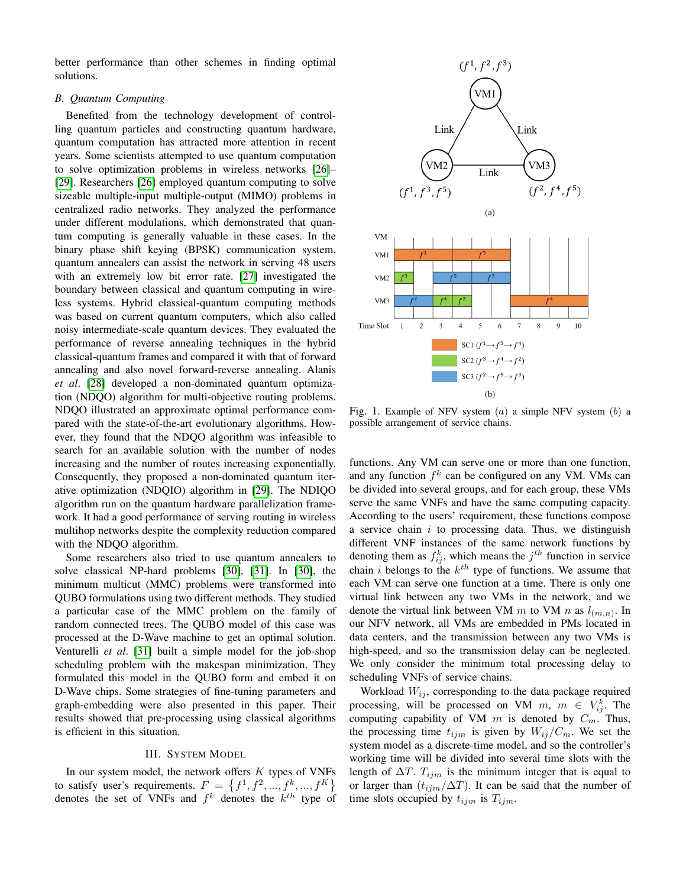better performance than other schemes in finding optimal solutions.

# *B. Quantum Computing*

Benefited from the technology development of controlling quantum particles and constructing quantum hardware, quantum computation has attracted more attention in recent years. Some scientists attempted to use quantum computation to solve optimization problems in wireless networks [\[26\]](#page-7-23)– [\[29\]](#page-7-24). Researchers [\[26\]](#page-7-23) employed quantum computing to solve sizeable multiple-input multiple-output (MIMO) problems in centralized radio networks. They analyzed the performance under different modulations, which demonstrated that quantum computing is generally valuable in these cases. In the binary phase shift keying (BPSK) communication system, quantum annealers can assist the network in serving 48 users with an extremely low bit error rate. [\[27\]](#page-7-25) investigated the boundary between classical and quantum computing in wireless systems. Hybrid classical-quantum computing methods was based on current quantum computers, which also called noisy intermediate-scale quantum devices. They evaluated the performance of reverse annealing techniques in the hybrid classical-quantum frames and compared it with that of forward annealing and also novel forward-reverse annealing. Alanis *et al*. [\[28\]](#page-7-26) developed a non-dominated quantum optimization (NDQO) algorithm for multi-objective routing problems. NDQO illustrated an approximate optimal performance compared with the state-of-the-art evolutionary algorithms. However, they found that the NDQO algorithm was infeasible to search for an available solution with the number of nodes increasing and the number of routes increasing exponentially. Consequently, they proposed a non-dominated quantum iterative optimization (NDQIO) algorithm in [\[29\]](#page-7-24). The NDIQO algorithm run on the quantum hardware parallelization framework. It had a good performance of serving routing in wireless multihop networks despite the complexity reduction compared with the NDQO algorithm.

Some researchers also tried to use quantum annealers to solve classical NP-hard problems [\[30\]](#page-7-27), [\[31\]](#page-7-28). In [\[30\]](#page-7-27), the minimum multicut (MMC) problems were transformed into QUBO formulations using two different methods. They studied a particular case of the MMC problem on the family of random connected trees. The QUBO model of this case was processed at the D-Wave machine to get an optimal solution. Venturelli *et al*. [\[31\]](#page-7-28) built a simple model for the job-shop scheduling problem with the makespan minimization. They formulated this model in the QUBO form and embed it on D-Wave chips. Some strategies of fine-tuning parameters and graph-embedding were also presented in this paper. Their results showed that pre-processing using classical algorithms is efficient in this situation.

#### III. SYSTEM MODEL

In our system model, the network offers  $K$  types of VNFs to satisfy user's requirements.  $F = \{f^1, f^2, ..., f^k, ..., f^K\}$ denotes the set of VNFs and  $f^k$  denotes the  $k^{th}$  type of

<span id="page-2-0"></span>

Fig. 1. Example of NFV system  $(a)$  a simple NFV system  $(b)$  a possible arrangement of service chains.

functions. Any VM can serve one or more than one function, and any function  $f^k$  can be configured on any VM. VMs can be divided into several groups, and for each group, these VMs serve the same VNFs and have the same computing capacity. According to the users' requirement, these functions compose a service chain  $i$  to processing data. Thus, we distinguish different VNF instances of the same network functions by denoting them as  $f_{ij}^k$ , which means the  $j^{th}$  function in service chain *i* belongs to the  $k^{th}$  type of functions. We assume that each VM can serve one function at a time. There is only one virtual link between any two VMs in the network, and we denote the virtual link between VM m to VM n as  $l_{(m,n)}$ . In our NFV network, all VMs are embedded in PMs located in data centers, and the transmission between any two VMs is high-speed, and so the transmission delay can be neglected. We only consider the minimum total processing delay to scheduling VNFs of service chains.

Workload  $W_{ij}$ , corresponding to the data package required processing, will be processed on VM  $m, m \in V_{ij}^k$ . The computing capability of VM  $m$  is denoted by  $C_m$ . Thus, the processing time  $t_{ijm}$  is given by  $W_{ij}/C_m$ . We set the system model as a discrete-time model, and so the controller's working time will be divided into several time slots with the length of  $\Delta T$ .  $T_{ijm}$  is the minimum integer that is equal to or larger than  $(t_{ijm}/\Delta T)$ . It can be said that the number of time slots occupied by  $t_{ijm}$  is  $T_{ijm}$ .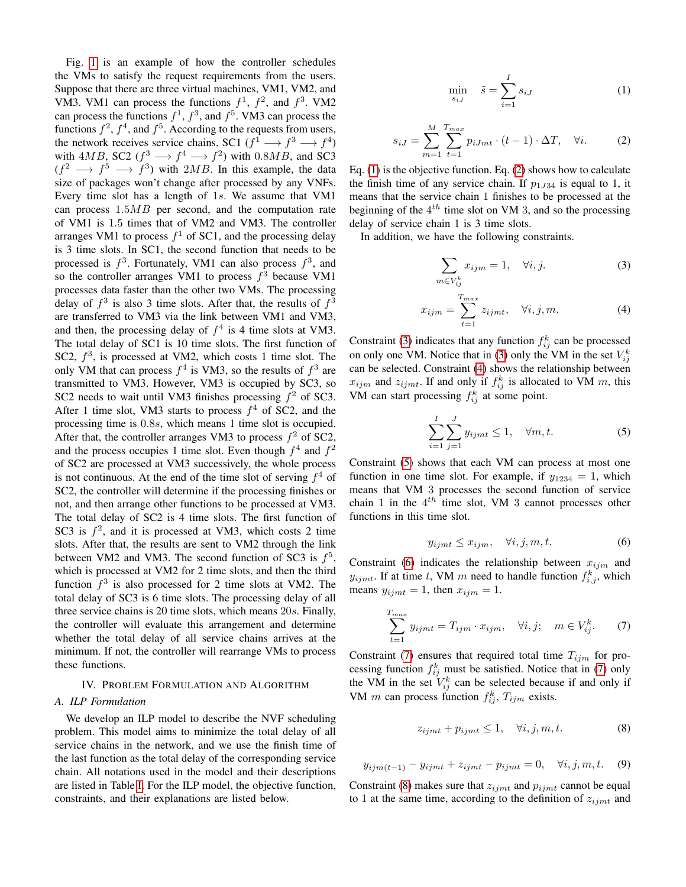Fig. [1](#page-2-0) is an example of how the controller schedules the VMs to satisfy the request requirements from the users. Suppose that there are three virtual machines, VM1, VM2, and VM3. VM1 can process the functions  $f^1$ ,  $f^2$ , and  $f^3$ . VM2 can process the functions  $f^1$ ,  $f^3$ , and  $f^5$ . VM3 can process the functions  $f^2$ ,  $f^4$ , and  $f^5$ . According to the requests from users, the network receives service chains, SC1  $(f^1 \longrightarrow f^3 \longrightarrow f^4)$ with  $4MB$ , SC2 ( $f^3 \longrightarrow f^4 \longrightarrow f^2$ ) with 0.8MB, and SC3  $(f^2 \longrightarrow f^5 \longrightarrow f^3)$  with 2MB. In this example, the data size of packages won't change after processed by any VNFs. Every time slot has a length of 1s. We assume that VM1 can process  $1.5MB$  per second, and the computation rate of VM1 is 1.5 times that of VM2 and VM3. The controller arranges VM1 to process  $f^1$  of SC1, and the processing delay is 3 time slots. In SC1, the second function that needs to be processed is  $f^3$ . Fortunately, VM1 can also process  $f^3$ , and so the controller arranges VM1 to process  $f^3$  because VM1 processes data faster than the other two VMs. The processing delay of  $f^3$  is also 3 time slots. After that, the results of  $f^3$ are transferred to VM3 via the link between VM1 and VM3, and then, the processing delay of  $f<sup>4</sup>$  is 4 time slots at VM3. The total delay of SC1 is 10 time slots. The first function of SC2,  $f^3$ , is processed at VM2, which costs 1 time slot. The only VM that can process  $f^4$  is VM3, so the results of  $f^3$  are transmitted to VM3. However, VM3 is occupied by SC3, so SC2 needs to wait until VM3 finishes processing  $f^2$  of SC3. After 1 time slot, VM3 starts to process  $f<sup>4</sup>$  of SC2, and the processing time is 0.8s, which means 1 time slot is occupied. After that, the controller arranges VM3 to process  $f^2$  of SC2, and the process occupies 1 time slot. Even though  $f^4$  and  $f^2$ of SC2 are processed at VM3 successively, the whole process is not continuous. At the end of the time slot of serving  $f<sup>4</sup>$  of SC2, the controller will determine if the processing finishes or not, and then arrange other functions to be processed at VM3. The total delay of SC2 is 4 time slots. The first function of SC3 is  $f^2$ , and it is processed at VM3, which costs 2 time slots. After that, the results are sent to VM2 through the link between VM2 and VM3. The second function of SC3 is  $f^5$ , which is processed at VM2 for 2 time slots, and then the third function  $f^3$  is also processed for 2 time slots at VM2. The total delay of SC3 is 6 time slots. The processing delay of all three service chains is 20 time slots, which means 20s. Finally, the controller will evaluate this arrangement and determine whether the total delay of all service chains arrives at the minimum. If not, the controller will rearrange VMs to process these functions.

#### IV. PROBLEM FORMULATION AND ALGORITHM

### *A. ILP Formulation*

We develop an ILP model to describe the NVF scheduling problem. This model aims to minimize the total delay of all service chains in the network, and we use the finish time of the last function as the total delay of the corresponding service chain. All notations used in the model and their descriptions are listed in Table [I.](#page-4-0) For the ILP model, the objective function, constraints, and their explanations are listed below.

<span id="page-3-0"></span>
$$
\min_{s_{iJ}} \quad \tilde{s} = \sum_{i=1}^{I} s_{iJ} \tag{1}
$$

<span id="page-3-1"></span>
$$
s_{iJ} = \sum_{m=1}^{M} \sum_{t=1}^{T_{max}} p_{iJmt} \cdot (t-1) \cdot \Delta T, \quad \forall i. \tag{2}
$$

Eq. [\(1\)](#page-3-0) is the objective function. Eq. [\(2\)](#page-3-1) shows how to calculate the finish time of any service chain. If  $p_{1J34}$  is equal to 1, it means that the service chain 1 finishes to be processed at the beginning of the  $4^{th}$  time slot on VM 3, and so the processing delay of service chain 1 is 3 time slots.

In addition, we have the following constraints.

<span id="page-3-2"></span>
$$
\sum_{m \in V_{ij}^k} x_{ijm} = 1, \quad \forall i, j.
$$
 (3)

<span id="page-3-3"></span>
$$
x_{ijm} = \sum_{t=1}^{T_{max}} z_{ijmt}, \quad \forall i, j, m.
$$
 (4)

Constraint [\(3\)](#page-3-2) indicates that any function  $f_{ij}^k$  can be processed on only one VM. Notice that in [\(3\)](#page-3-2) only the VM in the set  $V_{ij}^k$ can be selected. Constraint [\(4\)](#page-3-3) shows the relationship between  $x_{ijm}$  and  $z_{ijmt}$ . If and only if  $f_{ij}^k$  is allocated to VM m, this VM can start processing  $f_{ij}^k$  at some point.

<span id="page-3-4"></span>
$$
\sum_{i=1}^{I} \sum_{j=1}^{J} y_{ijmt} \le 1, \quad \forall m, t.
$$
 (5)

Constraint [\(5\)](#page-3-4) shows that each VM can process at most one function in one time slot. For example, if  $y_{1234} = 1$ , which means that VM 3 processes the second function of service chain 1 in the  $4^{th}$  time slot, VM 3 cannot processes other functions in this time slot.

<span id="page-3-5"></span>
$$
y_{ijmt} \le x_{ijm}, \quad \forall i, j, m, t. \tag{6}
$$

Constraint [\(6\)](#page-3-5) indicates the relationship between  $x_{ijm}$  and  $y_{ijmt}$ . If at time t, VM m need to handle function  $f_{i,j}^k$ , which means  $y_{ijmt} = 1$ , then  $x_{ijm} = 1$ .

<span id="page-3-6"></span>
$$
\sum_{t=1}^{T_{max}} y_{ijmt} = T_{ijm} \cdot x_{ijm}, \quad \forall i, j; \quad m \in V_{ij}^k. \tag{7}
$$

Constraint [\(7\)](#page-3-6) ensures that required total time  $T_{ijm}$  for processing function  $f_{ij}^k$  must be satisfied. Notice that in [\(7\)](#page-3-6) only the VM in the set  $V_{ij}^k$  can be selected because if and only if VM m can process function  $f_{ij}^k$ ,  $T_{ijm}$  exists.

<span id="page-3-7"></span>
$$
z_{ijmt} + p_{ijmt} \le 1, \quad \forall i, j, m, t. \tag{8}
$$

<span id="page-3-8"></span>
$$
y_{ijm(t-1)} - y_{ijmt} + z_{ijmt} - p_{ijmt} = 0, \quad \forall i, j, m, t.
$$
 (9)

Constraint [\(8\)](#page-3-7) makes sure that  $z_{ijmt}$  and  $p_{ijmt}$  cannot be equal to 1 at the same time, according to the definition of  $z_{ijmt}$  and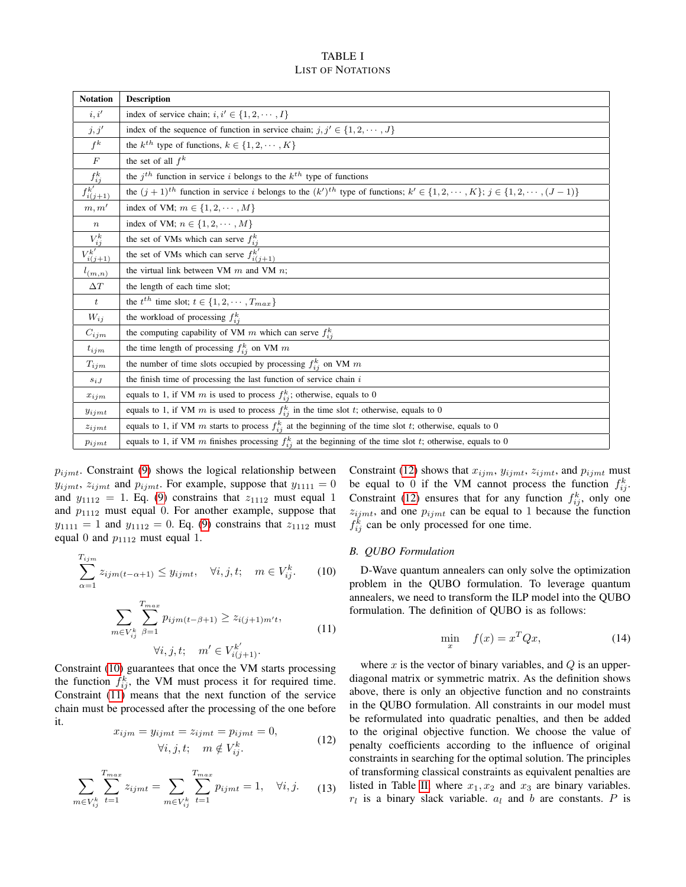# TABLE I LIST OF NOTATIONS

<span id="page-4-0"></span>

| <b>Notation</b>   | <b>Description</b>                                                                                                                                |
|-------------------|---------------------------------------------------------------------------------------------------------------------------------------------------|
| i, i'             | index of service chain; $i, i' \in \{1, 2, \dots, I\}$                                                                                            |
| j, j'             | index of the sequence of function in service chain; $j, j' \in \{1, 2, \dots, J\}$                                                                |
| $f^k$             | the $k^{th}$ type of functions, $k \in \{1, 2, \cdots, K\}$                                                                                       |
| $\cal F$          | the set of all $f^k$                                                                                                                              |
| $f_{ij}^k$        | the $j^{th}$ function in service i belongs to the $k^{th}$ type of functions                                                                      |
| $f_{i(j+1)}^{k'}$ | the $(j+1)^{th}$ function in service i belongs to the $(k')^{th}$ type of functions; $k' \in \{1, 2, \dots, K\}$ ; $j \in \{1, 2, \dots, (J-1)\}$ |
| m, m'             | index of VM; $m \in \{1, 2, \cdots, M\}$                                                                                                          |
| $\, n$            | index of VM; $n \in \{1, 2, \cdots, M\}$                                                                                                          |
| $V_{ij}^k$        | the set of VMs which can serve $f_{ij}^k$                                                                                                         |
| $V_{i(j+1)}^{k'}$ | the set of VMs which can serve $f_{i(j+1)}^{k'}$                                                                                                  |
| $l_{(m,n)}$       | the virtual link between VM $m$ and VM $n$ ;                                                                                                      |
| $\Delta T$        | the length of each time slot;                                                                                                                     |
| $\boldsymbol{t}$  | the $t^{th}$ time slot; $t \in \{1, 2, \cdots, T_{max}\}\$                                                                                        |
| $W_{ij}$          | the workload of processing $f_{ij}^k$                                                                                                             |
| $C_{ijm}$         | the computing capability of VM m which can serve $f_{ij}^k$                                                                                       |
| $t_{ijm}$         | the time length of processing $f_{ij}^k$ on VM m                                                                                                  |
| $T_{ijm}$         | the number of time slots occupied by processing $f_{ij}^k$ on VM $m$                                                                              |
| $s_{iJ}$          | the finish time of processing the last function of service chain $i$                                                                              |
| $x_{ijm}$         | equals to 1, if VM m is used to process $f_{ij}^k$ ; otherwise, equals to 0                                                                       |
| $y_{ijmt}$        | equals to 1, if VM m is used to process $f_{ij}^k$ in the time slot t; otherwise, equals to 0                                                     |
| $z_{ijmt}$        | equals to 1, if VM m starts to process $f_{ij}^k$ at the beginning of the time slot t; otherwise, equals to 0                                     |
| $p_{ijmt}$        | equals to 1, if VM m finishes processing $f_{ij}^k$ at the beginning of the time slot t; otherwise, equals to 0                                   |

 $p_{ijmt}$ . Constraint [\(9\)](#page-3-8) shows the logical relationship between  $y_{ijmt}$ ,  $z_{ijmt}$  and  $p_{ijmt}$ . For example, suppose that  $y_{1111} = 0$ and  $y_{1112} = 1$ . Eq. [\(9\)](#page-3-8) constrains that  $z_{1112}$  must equal 1 and  $p_{1112}$  must equal 0. For another example, suppose that  $y_{1111} = 1$  and  $y_{1112} = 0$ . Eq. [\(9\)](#page-3-8) constrains that  $z_{1112}$  must equal 0 and  $p_{1112}$  must equal 1.

<span id="page-4-1"></span>
$$
\sum_{\alpha=1}^{T_{ijm}} z_{ijm(t-\alpha+1)} \le y_{ijmt}, \quad \forall i, j, t; \quad m \in V_{ij}^k. \tag{10}
$$

$$
\sum_{m \in V_{ij}^k} \sum_{\beta=1}^{T_{max}} p_{ijm(t-\beta+1)} \ge z_{i(j+1)m't},
$$
  

$$
\forall i, j, t; \quad m' \in V_{i(j+1)}^{k'}.
$$
 (11)

<span id="page-4-2"></span>Constraint [\(10\)](#page-4-1) guarantees that once the VM starts processing the function  $f_{ij}^k$ , the VM must process it for required time. Constraint [\(11\)](#page-4-2) means that the next function of the service chain must be processed after the processing of the one before it.

$$
x_{ijm} = y_{ijmt} = z_{ijmt} = p_{ijmt} = 0,
$$
  

$$
\forall i, j, t; \quad m \notin V_{ij}^k.
$$
 (12)

<span id="page-4-4"></span><span id="page-4-3"></span>
$$
\sum_{m \in V_{ij}^k} \sum_{t=1}^{T_{max}} z_{ijmt} = \sum_{m \in V_{ij}^k} \sum_{t=1}^{T_{max}} p_{ijmt} = 1, \quad \forall i, j. \tag{13}
$$

Constraint [\(12\)](#page-4-3) shows that  $x_{ijm}$ ,  $y_{ijmt}$ ,  $z_{ijmt}$ , and  $p_{ijmt}$  must be equal to 0 if the VM cannot process the function  $f_{ij}^k$ . Constraint [\(12\)](#page-4-3) ensures that for any function  $f_{ij}^k$ , only one  $z_{ijmt}$ , and one  $p_{ijmt}$  can be equal to 1 because the function  $f_{ij}^{\overline{k}}$  can be only processed for one time.

#### *B. QUBO Formulation*

D-Wave quantum annealers can only solve the optimization problem in the QUBO formulation. To leverage quantum annealers, we need to transform the ILP model into the QUBO formulation. The definition of QUBO is as follows:

<span id="page-4-5"></span>
$$
\min_{x} \quad f(x) = x^T Q x,\tag{14}
$$

where  $x$  is the vector of binary variables, and  $Q$  is an upperdiagonal matrix or symmetric matrix. As the definition shows above, there is only an objective function and no constraints in the QUBO formulation. All constraints in our model must be reformulated into quadratic penalties, and then be added to the original objective function. We choose the value of penalty coefficients according to the influence of original constraints in searching for the optimal solution. The principles of transforming classical constraints as equivalent penalties are listed in Table [II,](#page-5-0) where  $x_1, x_2$  and  $x_3$  are binary variables.  $r_l$  is a binary slack variable.  $a_l$  and b are constants. P is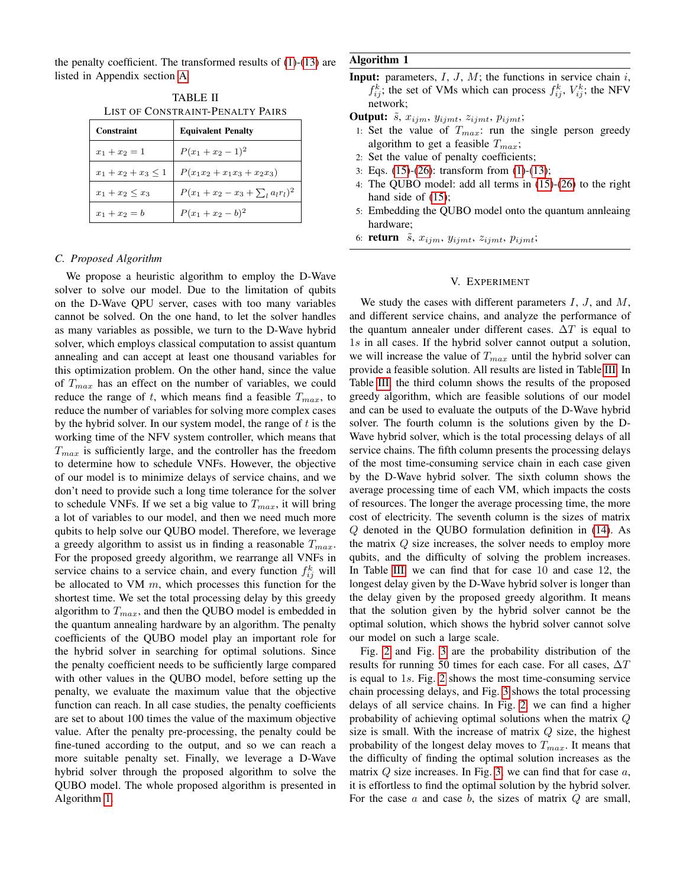<span id="page-5-0"></span>the penalty coefficient. The transformed results of  $(1)-(13)$  $(1)-(13)$  $(1)-(13)$  are listed in Appendix section [A.](#page-8-0)

TABLE II LIST OF CONSTRAINT-PENALTY PAIRS

| Constraint               | <b>Equivalent Penalty</b>             |  |  |
|--------------------------|---------------------------------------|--|--|
| $x_1 + x_2 = 1$          | $P(x_1+x_2-1)^2$                      |  |  |
| $x_1 + x_2 + x_3 \leq 1$ | $P(x_1x_2 + x_1x_3 + x_2x_3)$         |  |  |
| $x_1 + x_2 \leq x_3$     | $P(x_1+x_2-x_3+\sum_{l}a_{l}r_{l})^2$ |  |  |
| $x_1 + x_2 = b$          | $P(x_1+x_2-b)^2$                      |  |  |

# *C. Proposed Algorithm*

We propose a heuristic algorithm to employ the D-Wave solver to solve our model. Due to the limitation of qubits on the D-Wave QPU server, cases with too many variables cannot be solved. On the one hand, to let the solver handles as many variables as possible, we turn to the D-Wave hybrid solver, which employs classical computation to assist quantum annealing and can accept at least one thousand variables for this optimization problem. On the other hand, since the value of  $T_{max}$  has an effect on the number of variables, we could reduce the range of t, which means find a feasible  $T_{max}$ , to reduce the number of variables for solving more complex cases by the hybrid solver. In our system model, the range of  $t$  is the working time of the NFV system controller, which means that  $T_{max}$  is sufficiently large, and the controller has the freedom to determine how to schedule VNFs. However, the objective of our model is to minimize delays of service chains, and we don't need to provide such a long time tolerance for the solver to schedule VNFs. If we set a big value to  $T_{max}$ , it will bring a lot of variables to our model, and then we need much more qubits to help solve our QUBO model. Therefore, we leverage a greedy algorithm to assist us in finding a reasonable  $T_{max}$ . For the proposed greedy algorithm, we rearrange all VNFs in service chains to a service chain, and every function  $f_{ij}^k$  will be allocated to VM  $m$ , which processes this function for the shortest time. We set the total processing delay by this greedy algorithm to  $T_{max}$ , and then the QUBO model is embedded in the quantum annealing hardware by an algorithm. The penalty coefficients of the QUBO model play an important role for the hybrid solver in searching for optimal solutions. Since the penalty coefficient needs to be sufficiently large compared with other values in the QUBO model, before setting up the penalty, we evaluate the maximum value that the objective function can reach. In all case studies, the penalty coefficients are set to about 100 times the value of the maximum objective value. After the penalty pre-processing, the penalty could be fine-tuned according to the output, and so we can reach a more suitable penalty set. Finally, we leverage a D-Wave hybrid solver through the proposed algorithm to solve the QUBO model. The whole proposed algorithm is presented in Algorithm [1.](#page-5-1)

# <span id="page-5-1"></span>Algorithm 1

**Input:** parameters,  $I, J, M$ ; the functions in service chain  $i$ ,  $f_{ij}^k$ ; the set of VMs which can process  $f_{ij}^k$ ,  $V_{ij}^k$ ; the NFV network;

**Output:**  $\tilde{s}$ ,  $x_{ijm}$ ,  $y_{ijmt}$ ,  $z_{ijmt}$ ,  $p_{ijmt}$ ;

- 1: Set the value of  $T_{max}$ : run the single person greedy algorithm to get a feasible  $T_{max}$ ;
- 2: Set the value of penalty coefficients;
- 3: Eqs. [\(15\)](#page-8-1)-[\(26\)](#page-8-2): transform from [\(1\)](#page-3-0)-[\(13\)](#page-4-4);
- 4: The QUBO model: add all terms in [\(15\)](#page-8-1)-[\(26\)](#page-8-2) to the right hand side of  $(15)$ ;
- 5: Embedding the QUBO model onto the quantum annleaing hardware;
- 6: return  $\tilde{s}$ ,  $x_{ijm}$ ,  $y_{ijmt}$ ,  $z_{ijmt}$ ,  $p_{ijmt}$ ;

# V. EXPERIMENT

We study the cases with different parameters  $I, J$ , and  $M$ , and different service chains, and analyze the performance of the quantum annealer under different cases.  $\Delta T$  is equal to 1s in all cases. If the hybrid solver cannot output a solution, we will increase the value of  $T_{max}$  until the hybrid solver can provide a feasible solution. All results are listed in Table [III.](#page-6-0) In Table [III,](#page-6-0) the third column shows the results of the proposed greedy algorithm, which are feasible solutions of our model and can be used to evaluate the outputs of the D-Wave hybrid solver. The fourth column is the solutions given by the D-Wave hybrid solver, which is the total processing delays of all service chains. The fifth column presents the processing delays of the most time-consuming service chain in each case given by the D-Wave hybrid solver. The sixth column shows the average processing time of each VM, which impacts the costs of resources. The longer the average processing time, the more cost of electricity. The seventh column is the sizes of matrix Q denoted in the QUBO formulation definition in [\(14\)](#page-4-5). As the matrix Q size increases, the solver needs to employ more qubits, and the difficulty of solving the problem increases. In Table [III,](#page-6-0) we can find that for case 10 and case 12, the longest delay given by the D-Wave hybrid solver is longer than the delay given by the proposed greedy algorithm. It means that the solution given by the hybrid solver cannot be the optimal solution, which shows the hybrid solver cannot solve our model on such a large scale.

Fig. [2](#page-6-1) and Fig. [3](#page-7-29) are the probability distribution of the results for running 50 times for each case. For all cases,  $\Delta T$ is equal to 1s. Fig. [2](#page-6-1) shows the most time-consuming service chain processing delays, and Fig. [3](#page-7-29) shows the total processing delays of all service chains. In Fig. [2,](#page-6-1) we can find a higher probability of achieving optimal solutions when the matrix Q size is small. With the increase of matrix  $Q$  size, the highest probability of the longest delay moves to  $T_{max}$ . It means that the difficulty of finding the optimal solution increases as the matrix  $Q$  size increases. In Fig. [3,](#page-7-29) we can find that for case  $a$ , it is effortless to find the optimal solution by the hybrid solver. For the case  $a$  and case  $b$ , the sizes of matrix  $Q$  are small,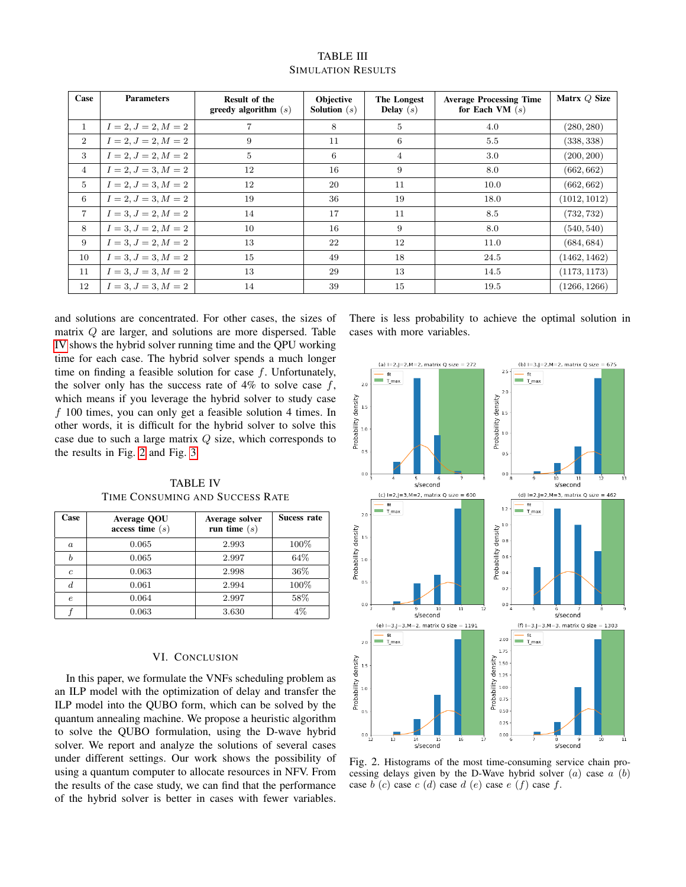<span id="page-6-0"></span>

| Case            | <b>Parameters</b>     | Result of the<br>greedy algorithm $(s)$ | <b>Objective</b><br><b>Solution</b> $(s)$ | The Longest<br><b>Delay</b> $(s)$ | <b>Average Processing Time</b><br>for Each VM $(s)$ | Matrx Q Size |
|-----------------|-----------------------|-----------------------------------------|-------------------------------------------|-----------------------------------|-----------------------------------------------------|--------------|
| $\mathbf{1}$    | $I = 2, J = 2, M = 2$ |                                         | 8                                         | 5                                 | 4.0                                                 | (280, 280)   |
| $\overline{2}$  | $I = 2, J = 2, M = 2$ | 9                                       | 11                                        | 6                                 | 5.5                                                 | (338, 338)   |
| 3               | $I = 2, J = 2, M = 2$ | $5\phantom{.0}$                         | 6                                         | $\overline{4}$                    | 3.0                                                 | (200, 200)   |
| $\overline{4}$  | $I = 2, J = 3, M = 2$ | 12                                      | 16                                        | 9                                 | 8.0                                                 | (662, 662)   |
| $5\phantom{.0}$ | $I = 2, J = 3, M = 2$ | 12                                      | 20                                        | 11                                | 10.0                                                | (662, 662)   |
| 6               | $I = 2, J = 3, M = 2$ | 19                                      | 36                                        | 19                                | 18.0                                                | (1012, 1012) |
| $\overline{7}$  | $I = 3, J = 2, M = 2$ | 14                                      | 17                                        | 11                                | 8.5                                                 | (732, 732)   |
| 8               | $I = 3, J = 2, M = 2$ | 10                                      | 16                                        | 9                                 | 8.0                                                 | (540, 540)   |
| 9               | $I = 3, J = 2, M = 2$ | 13                                      | 22                                        | 12                                | 11.0                                                | (684, 684)   |
| 10              | $I = 3, J = 3, M = 2$ | 15                                      | 49                                        | 18                                | 24.5                                                | (1462, 1462) |
| 11              | $I = 3, J = 3, M = 2$ | 13                                      | 29                                        | 13                                | 14.5                                                | (1173, 1173) |
| 12              | $I = 3, J = 3, M = 2$ | 14                                      | 39                                        | 15                                | 19.5                                                | (1266, 1266) |

TABLE III SIMULATION RESULTS

and solutions are concentrated. For other cases, the sizes of matrix Q are larger, and solutions are more dispersed. Table [IV](#page-6-2) shows the hybrid solver running time and the QPU working time for each case. The hybrid solver spends a much longer time on finding a feasible solution for case  $f$ . Unfortunately, the solver only has the success rate of  $4\%$  to solve case f, which means if you leverage the hybrid solver to study case  $f$  100 times, you can only get a feasible solution 4 times. In other words, it is difficult for the hybrid solver to solve this case due to such a large matrix  $Q$  size, which corresponds to the results in Fig. [2](#page-6-1) and Fig. [3.](#page-7-29)

TABLE IV TIME CONSUMING AND SUCCESS RATE

<span id="page-6-2"></span>

| Case             | Average QOU<br>access time $(s)$ | Average solver<br>run time $(s)$ | Sucess rate |
|------------------|----------------------------------|----------------------------------|-------------|
| $\boldsymbol{a}$ | 0.065                            | 2.993                            | 100%        |
| $\boldsymbol{b}$ | 0.065                            | 2.997                            | 64%         |
| $\boldsymbol{c}$ | 0.063                            | 2.998                            | 36%         |
| $\overline{d}$   | 0.061                            | 2.994                            | 100%        |
| $\epsilon$       | 0.064                            | 2.997                            | 58%         |
|                  | 0.063                            | 3.630                            | 4%          |

# VI. CONCLUSION

In this paper, we formulate the VNFs scheduling problem as an ILP model with the optimization of delay and transfer the ILP model into the QUBO form, which can be solved by the quantum annealing machine. We propose a heuristic algorithm to solve the QUBO formulation, using the D-wave hybrid solver. We report and analyze the solutions of several cases under different settings. Our work shows the possibility of using a quantum computer to allocate resources in NFV. From the results of the case study, we can find that the performance of the hybrid solver is better in cases with fewer variables. There is less probability to achieve the optimal solution in cases with more variables.

<span id="page-6-1"></span>

Fig. 2. Histograms of the most time-consuming service chain processing delays given by the D-Wave hybrid solver  $(a)$  case  $a (b)$ case b (c) case c (d) case d (e) case e (f) case f.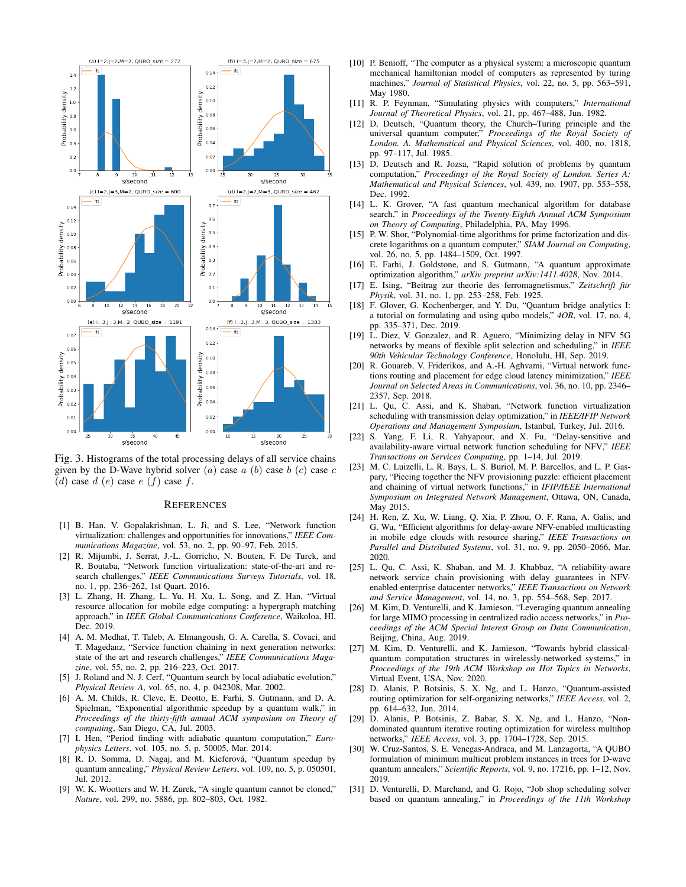<span id="page-7-29"></span>

Fig. 3. Histograms of the total processing delays of all service chains given by the D-Wave hybrid solver  $(a)$  case  $a$   $(b)$  case  $b$   $(c)$  case  $c$ (d) case d (e) case e (f) case f.

#### **REFERENCES**

- <span id="page-7-0"></span>[1] B. Han, V. Gopalakrishnan, L. Ji, and S. Lee, "Network function virtualization: challenges and opportunities for innovations," *IEEE Communications Magazine*, vol. 53, no. 2, pp. 90–97, Feb. 2015.
- <span id="page-7-1"></span>[2] R. Mijumbi, J. Serrat, J.-L. Gorricho, N. Bouten, F. De Turck, and R. Boutaba, "Network function virtualization: state-of-the-art and research challenges," *IEEE Communications Surveys Tutorials*, vol. 18, no. 1, pp. 236–262, 1st Quart. 2016.
- <span id="page-7-2"></span>[3] L. Zhang, H. Zhang, L. Yu, H. Xu, L. Song, and Z. Han, "Virtual resource allocation for mobile edge computing: a hypergraph matching approach," in *IEEE Global Communications Conference*, Waikoloa, HI, Dec. 2019.
- <span id="page-7-3"></span>[4] A. M. Medhat, T. Taleb, A. Elmangoush, G. A. Carella, S. Covaci, and T. Magedanz, "Service function chaining in next generation networks: state of the art and research challenges," *IEEE Communications Magazine*, vol. 55, no. 2, pp. 216–223, Oct. 2017.
- <span id="page-7-4"></span>[5] J. Roland and N. J. Cerf, "Quantum search by local adiabatic evolution," *Physical Review A*, vol. 65, no. 4, p. 042308, Mar. 2002.
- [6] A. M. Childs, R. Cleve, E. Deotto, E. Farhi, S. Gutmann, and D. A. Spielman, "Exponential algorithmic speedup by a quantum walk," in *Proceedings of the thirty-fifth annual ACM symposium on Theory of computing*, San Diego, CA, Jul. 2003.
- [7] I. Hen, "Period finding with adiabatic quantum computation," *Europhysics Letters*, vol. 105, no. 5, p. 50005, Mar. 2014.
- <span id="page-7-5"></span>[8] R. D. Somma, D. Nagaj, and M. Kieferová, "Quantum speedup by quantum annealing," *Physical Review Letters*, vol. 109, no. 5, p. 050501, Jul. 2012.
- <span id="page-7-6"></span>[9] W. K. Wootters and W. H. Zurek, "A single quantum cannot be cloned," *Nature*, vol. 299, no. 5886, pp. 802–803, Oct. 1982.
- <span id="page-7-7"></span>[10] P. Benioff, "The computer as a physical system: a microscopic quantum mechanical hamiltonian model of computers as represented by turing machines," *Journal of Statistical Physics*, vol. 22, no. 5, pp. 563–591, May 1980.
- <span id="page-7-8"></span>[11] R. P. Feynman, "Simulating physics with computers," *International Journal of Theoretical Physics*, vol. 21, pp. 467–488, Jun. 1982.
- <span id="page-7-9"></span>[12] D. Deutsch, "Quantum theory, the Church–Turing principle and the universal quantum computer," *Proceedings of the Royal Society of London. A. Mathematical and Physical Sciences*, vol. 400, no. 1818, pp. 97–117, Jul. 1985.
- <span id="page-7-10"></span>[13] D. Deutsch and R. Jozsa, "Rapid solution of problems by quantum computation," *Proceedings of the Royal Society of London. Series A: Mathematical and Physical Sciences*, vol. 439, no. 1907, pp. 553–558, Dec. 1992.
- <span id="page-7-11"></span>[14] L. K. Grover, "A fast quantum mechanical algorithm for database search," in *Proceedings of the Twenty-Eighth Annual ACM Symposium on Theory of Computing*, Philadelphia, PA, May 1996.
- <span id="page-7-12"></span>[15] P. W. Shor, "Polynomial-time algorithms for prime factorization and discrete logarithms on a quantum computer," *SIAM Journal on Computing*, vol. 26, no. 5, pp. 1484–1509, Oct. 1997.
- <span id="page-7-13"></span>[16] E. Farhi, J. Goldstone, and S. Gutmann, "A quantum approximate optimization algorithm," *arXiv preprint arXiv:1411.4028*, Nov. 2014.
- <span id="page-7-14"></span>[17] E. Ising, "Beitrag zur theorie des ferromagnetismus," Zeitschrift für *Physik*, vol. 31, no. 1, pp. 253–258, Feb. 1925.
- <span id="page-7-15"></span>[18] F. Glover, G. Kochenberger, and Y. Du, "Quantum bridge analytics I: a tutorial on formulating and using qubo models," *4OR*, vol. 17, no. 4, pp. 335–371, Dec. 2019.
- <span id="page-7-16"></span>[19] L. Diez, V. Gonzalez, and R. Aguero, "Minimizing delay in NFV 5G networks by means of flexible split selection and scheduling," in *IEEE 90th Vehicular Technology Conference*, Honolulu, HI, Sep. 2019.
- <span id="page-7-18"></span>[20] R. Gouareb, V. Friderikos, and A.-H. Aghvami, "Virtual network functions routing and placement for edge cloud latency minimization," *IEEE Journal on Selected Areas in Communications*, vol. 36, no. 10, pp. 2346– 2357, Sep. 2018.
- <span id="page-7-17"></span>[21] L. Qu, C. Assi, and K. Shaban, "Network function virtualization scheduling with transmission delay optimization," in *IEEE/IFIP Network Operations and Management Symposium*, Istanbul, Turkey, Jul. 2016.
- <span id="page-7-19"></span>[22] S. Yang, F. Li, R. Yahyapour, and X. Fu, "Delay-sensitive and availability-aware virtual network function scheduling for NFV," *IEEE Transactions on Services Computing*, pp. 1–14, Jul. 2019.
- <span id="page-7-21"></span>[23] M. C. Luizelli, L. R. Bays, L. S. Buriol, M. P. Barcellos, and L. P. Gaspary, "Piecing together the NFV provisioning puzzle: efficient placement and chaining of virtual network functions," in *IFIP/IEEE International Symposium on Integrated Network Management*, Ottawa, ON, Canada, May 2015.
- <span id="page-7-22"></span>[24] H. Ren, Z. Xu, W. Liang, Q. Xia, P. Zhou, O. F. Rana, A. Galis, and G. Wu, "Efficient algorithms for delay-aware NFV-enabled multicasting in mobile edge clouds with resource sharing," *IEEE Transactions on Parallel and Distributed Systems*, vol. 31, no. 9, pp. 2050–2066, Mar. 2020.
- <span id="page-7-20"></span>[25] L. Qu, C. Assi, K. Shaban, and M. J. Khabbaz, "A reliability-aware network service chain provisioning with delay guarantees in NFVenabled enterprise datacenter networks," *IEEE Transactions on Network and Service Management*, vol. 14, no. 3, pp. 554–568, Sep. 2017.
- <span id="page-7-23"></span>[26] M. Kim, D. Venturelli, and K. Jamieson, "Leveraging quantum annealing for large MIMO processing in centralized radio access networks," in *Proceedings of the ACM Special Interest Group on Data Communication*, Beijing, China, Aug. 2019.
- <span id="page-7-25"></span>[27] M. Kim, D. Venturelli, and K. Jamieson, "Towards hybrid classicalquantum computation structures in wirelessly-networked systems," in *Proceedings of the 19th ACM Workshop on Hot Topics in Networks*, Virtual Event, USA, Nov. 2020.
- <span id="page-7-26"></span>[28] D. Alanis, P. Botsinis, S. X. Ng, and L. Hanzo, "Quantum-assisted routing optimization for self-organizing networks," *IEEE Access*, vol. 2, pp. 614–632, Jun. 2014.
- <span id="page-7-24"></span>[29] D. Alanis, P. Botsinis, Z. Babar, S. X. Ng, and L. Hanzo, "Nondominated quantum iterative routing optimization for wireless multihop networks," *IEEE Access*, vol. 3, pp. 1704–1728, Sep. 2015.
- <span id="page-7-27"></span>[30] W. Cruz-Santos, S. E. Venegas-Andraca, and M. Lanzagorta, "A QUBO formulation of minimum multicut problem instances in trees for D-wave quantum annealers," *Scientific Reports*, vol. 9, no. 17216, pp. 1–12, Nov. 2019.
- <span id="page-7-28"></span>[31] D. Venturelli, D. Marchand, and G. Rojo, "Job shop scheduling solver based on quantum annealing," in *Proceedings of the 11th Workshop*